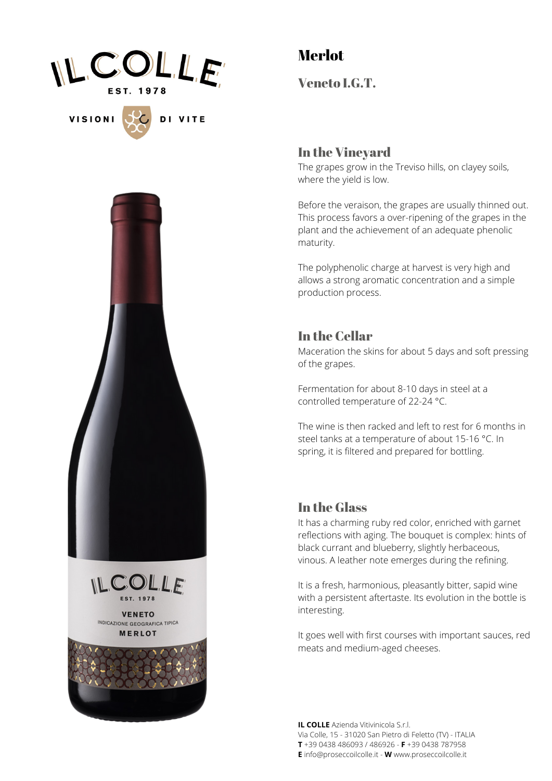

**VISIONI** 

DI VITE

# Merlot

Veneto I.G.T.

#### In the Vineyard

The grapes grow in the Treviso hills, on clayey soils, where the yield is low.

Before the veraison, the grapes are usually thinned out. This process favors a over-ripening of the grapes in the plant and the achievement of an adequate phenolic maturity.

The polyphenolic charge at harvest is very high and allows a strong aromatic concentration and a simple production process.

### In the Cellar

Maceration the skins for about 5 days and soft pressing of the grapes.

Fermentation for about 8-10 days in steel at a controlled temperature of 22-24 °C.

The wine is then racked and left to rest for 6 months in steel tanks at a temperature of about 15-16 °C. In spring, it is filtered and prepared for bottling.

#### In the Glass

It has a charming ruby red color, enriched with garnet reflections with aging. The bouquet is complex: hints of black currant and blueberry, slightly herbaceous, vinous. A leather note emerges during the refining.

It is a fresh, harmonious, pleasantly bitter, sapid wine with a persistent aftertaste. Its evolution in the bottle is interesting.

It goes well with first courses with important sauces, red meats and medium-aged cheeses.

**IL COLLE** Azienda Vitivinicola S.r.l. Via Colle, 15 - 31020 San Pietro di Feletto (TV) - ITALIA **T** +39 0438 486093 / 486926 - **F** +39 0438 787958 **E** info@proseccoilcolle.it - **W** www.proseccoilcolle.it